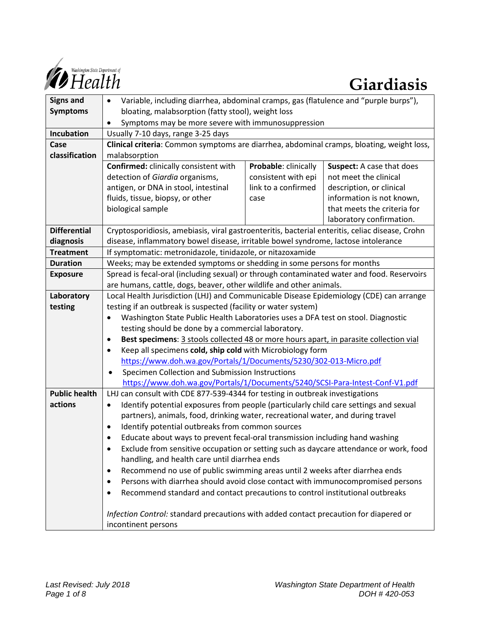

| <b>Signs and</b>     | Variable, including diarrhea, abdominal cramps, gas (flatulence and "purple burps"),<br>$\bullet$            |                      |                             |
|----------------------|--------------------------------------------------------------------------------------------------------------|----------------------|-----------------------------|
| <b>Symptoms</b>      | bloating, malabsorption (fatty stool), weight loss                                                           |                      |                             |
|                      | Symptoms may be more severe with immunosuppression<br>$\bullet$                                              |                      |                             |
| Incubation           | Usually 7-10 days, range 3-25 days                                                                           |                      |                             |
| Case                 | Clinical criteria: Common symptoms are diarrhea, abdominal cramps, bloating, weight loss,                    |                      |                             |
| classification       | malabsorption                                                                                                |                      |                             |
|                      | Confirmed: clinically consistent with                                                                        | Probable: clinically | Suspect: A case that does   |
|                      | detection of Giardia organisms,                                                                              | consistent with epi  | not meet the clinical       |
|                      | antigen, or DNA in stool, intestinal                                                                         | link to a confirmed  | description, or clinical    |
|                      | fluids, tissue, biopsy, or other                                                                             | case                 | information is not known,   |
|                      | biological sample                                                                                            |                      | that meets the criteria for |
|                      |                                                                                                              |                      | laboratory confirmation.    |
| <b>Differential</b>  | Cryptosporidiosis, amebiasis, viral gastroenteritis, bacterial enteritis, celiac disease, Crohn              |                      |                             |
| diagnosis            | disease, inflammatory bowel disease, irritable bowel syndrome, lactose intolerance                           |                      |                             |
| <b>Treatment</b>     | If symptomatic: metronidazole, tinidazole, or nitazoxamide                                                   |                      |                             |
| <b>Duration</b>      | Weeks; may be extended symptoms or shedding in some persons for months                                       |                      |                             |
| <b>Exposure</b>      | Spread is fecal-oral (including sexual) or through contaminated water and food. Reservoirs                   |                      |                             |
|                      | are humans, cattle, dogs, beaver, other wildlife and other animals.                                          |                      |                             |
| Laboratory           | Local Health Jurisdiction (LHJ) and Communicable Disease Epidemiology (CDE) can arrange                      |                      |                             |
| testing              | testing if an outbreak is suspected (facility or water system)                                               |                      |                             |
|                      | Washington State Public Health Laboratories uses a DFA test on stool. Diagnostic<br>$\bullet$                |                      |                             |
|                      | testing should be done by a commercial laboratory.                                                           |                      |                             |
|                      | Best specimens: 3 stools collected 48 or more hours apart, in parasite collection vial<br>$\bullet$          |                      |                             |
|                      | Keep all specimens cold, ship cold with Microbiology form<br>$\bullet$                                       |                      |                             |
|                      | https://www.doh.wa.gov/Portals/1/Documents/5230/302-013-Micro.pdf                                            |                      |                             |
|                      | Specimen Collection and Submission Instructions<br>$\bullet$                                                 |                      |                             |
|                      | https://www.doh.wa.gov/Portals/1/Documents/5240/SCSI-Para-Intest-Conf-V1.pdf                                 |                      |                             |
| <b>Public health</b> | LHJ can consult with CDE 877-539-4344 for testing in outbreak investigations                                 |                      |                             |
| actions              | Identify potential exposures from people (particularly child care settings and sexual<br>$\bullet$           |                      |                             |
|                      | partners), animals, food, drinking water, recreational water, and during travel                              |                      |                             |
|                      | Identify potential outbreaks from common sources<br>$\bullet$                                                |                      |                             |
|                      | Educate about ways to prevent fecal-oral transmission including hand washing                                 |                      |                             |
|                      | Exclude from sensitive occupation or setting such as daycare attendance or work, food                        |                      |                             |
|                      | handling, and health care until diarrhea ends                                                                |                      |                             |
|                      | Recommend no use of public swimming areas until 2 weeks after diarrhea ends                                  |                      |                             |
|                      | Persons with diarrhea should avoid close contact with immunocompromised persons                              |                      |                             |
|                      | Recommend standard and contact precautions to control institutional outbreaks                                |                      |                             |
|                      | Infection Control: standard precautions with added contact precaution for diapered or<br>incontinent persons |                      |                             |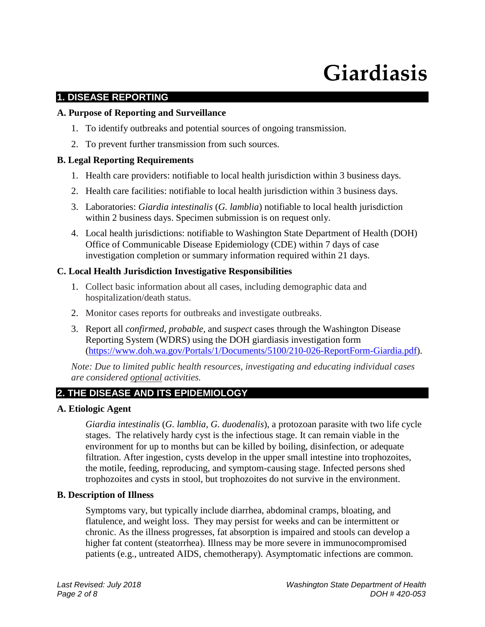# **Giardiasis**

# **1. DISEASE REPORTING**

#### **A. Purpose of Reporting and Surveillance**

- 1. To identify outbreaks and potential sources of ongoing transmission.
- 2. To prevent further transmission from such sources.

# **B. Legal Reporting Requirements**

- 1. Health care providers: notifiable to local health jurisdiction within 3 business days.
- 2. Health care facilities: notifiable to local health jurisdiction within 3 business days.
- 3. Laboratories: *Giardia intestinalis* (*G. lamblia*) notifiable to local health jurisdiction within 2 business days. Specimen submission is on request only.
- 4. Local health jurisdictions: notifiable to Washington State Department of Health (DOH) Office of Communicable Disease Epidemiology (CDE) within 7 days of case investigation completion or summary information required within 21 days.

# **C. Local Health Jurisdiction Investigative Responsibilities**

- 1. Collect basic information about all cases, including demographic data and hospitalization/death status.
- 2. Monitor cases reports for outbreaks and investigate outbreaks.
- 3. Report all *confirmed*, *probable,* and *suspect* cases through the Washington Disease Reporting System (WDRS) using the DOH giardiasis investigation form [\(https://www.doh.wa.gov/Portals/1/Documents/5100/210-026-ReportForm-Giardia.pdf\)](https://www.doh.wa.gov/Portals/1/Documents/5100/210-026-ReportForm-Giardia.pdf).

*Note: Due to limited public health resources, investigating and educating individual cases are considered optional activities.*

# **2. THE DISEASE AND ITS EPIDEMIOLOGY**

#### **A. Etiologic Agent**

*Giardia intestinalis* (*G. lamblia, G. duodenalis*), a protozoan parasite with two life cycle stages. The relatively hardy cyst is the infectious stage. It can remain viable in the environment for up to months but can be killed by boiling, disinfection, or adequate filtration. After ingestion, cysts develop in the upper small intestine into trophozoites, the motile, feeding, reproducing, and symptom-causing stage. Infected persons shed trophozoites and cysts in stool, but trophozoites do not survive in the environment.

#### **B. Description of Illness**

Symptoms vary, but typically include diarrhea, abdominal cramps, bloating, and flatulence, and weight loss. They may persist for weeks and can be intermittent or chronic. As the illness progresses, fat absorption is impaired and stools can develop a higher fat content (steatorrhea). Illness may be more severe in immunocompromised patients (e.g., untreated AIDS, chemotherapy). Asymptomatic infections are common.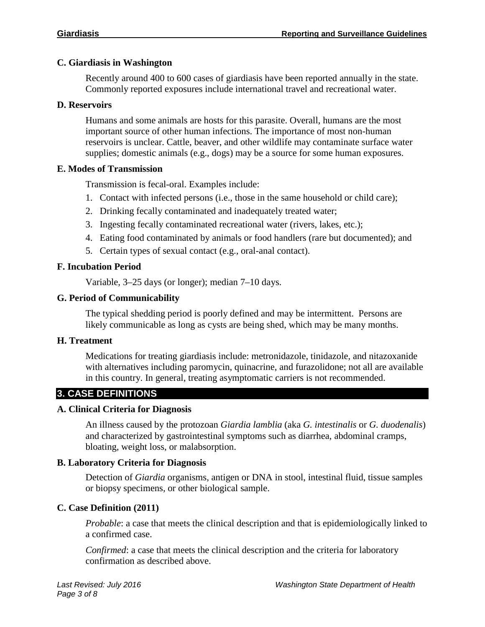#### **C. Giardiasis in Washington**

Recently around 400 to 600 cases of giardiasis have been reported annually in the state. Commonly reported exposures include international travel and recreational water.

#### **D. Reservoirs**

Humans and some animals are hosts for this parasite. Overall, humans are the most important source of other human infections. The importance of most non-human reservoirs is unclear. Cattle, beaver, and other wildlife may contaminate surface water supplies; domestic animals (e.g., dogs) may be a source for some human exposures.

#### **E. Modes of Transmission**

Transmission is fecal-oral. Examples include:

- 1. Contact with infected persons (i.e., those in the same household or child care);
- 2. Drinking fecally contaminated and inadequately treated water;
- 3. Ingesting fecally contaminated recreational water (rivers, lakes, etc.);
- 4. Eating food contaminated by animals or food handlers (rare but documented); and
- 5. Certain types of sexual contact (e.g., oral-anal contact).

#### **F. Incubation Period**

Variable, 3–25 days (or longer); median 7–10 days.

#### **G. Period of Communicability**

The typical shedding period is poorly defined and may be intermittent. Persons are likely communicable as long as cysts are being shed, which may be many months.

#### **H. Treatment**

Medications for treating giardiasis include: metronidazole, tinidazole, and nitazoxanide with alternatives including paromycin, quinacrine, and furazolidone; not all are available in this country. In general, treating asymptomatic carriers is not recommended.

# **3. CASE DEFINITIONS**

#### **A. Clinical Criteria for Diagnosis**

An illness caused by the protozoan *Giardia lamblia* (aka *G. intestinalis* or *G. duodenalis*) and characterized by gastrointestinal symptoms such as diarrhea, abdominal cramps, bloating, weight loss, or malabsorption.

#### **B. Laboratory Criteria for Diagnosis**

Detection of *Giardia* organisms, antigen or DNA in stool, intestinal fluid, tissue samples or biopsy specimens, or other biological sample.

#### **C. Case Definition (2011)**

*Probable*: a case that meets the clinical description and that is epidemiologically linked to a confirmed case.

*Confirmed*: a case that meets the clinical description and the criteria for laboratory confirmation as described above.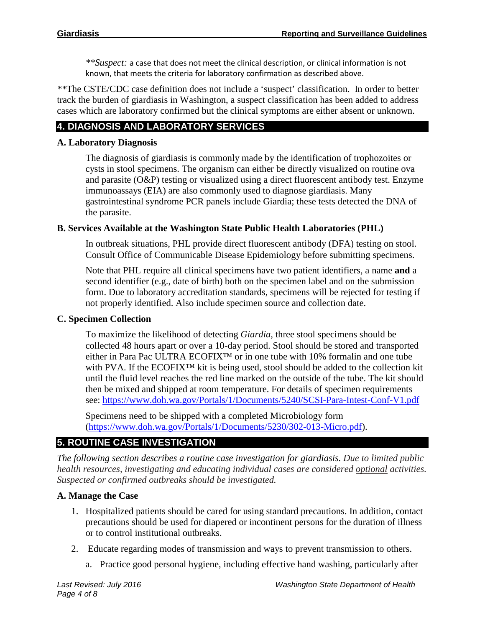*\*\*Suspect:* a case that does not meet the clinical description, or clinical information is not known, that meets the criteria for laboratory confirmation as described above.

*\*\**The CSTE/CDC case definition does not include a 'suspect' classification. In order to better track the burden of giardiasis in Washington, a suspect classification has been added to address cases which are laboratory confirmed but the clinical symptoms are either absent or unknown.

# **4. DIAGNOSIS AND LABORATORY SERVICES**

#### **A. Laboratory Diagnosis**

The diagnosis of giardiasis is commonly made by the identification of trophozoites or cysts in stool specimens. The organism can either be directly visualized on routine ova and parasite (O&P) testing or visualized using a direct fluorescent antibody test. Enzyme immunoassays (EIA) are also commonly used to diagnose giardiasis. Many gastrointestinal syndrome PCR panels include Giardia; these tests detected the DNA of the parasite.

# **B. Services Available at the Washington State Public Health Laboratories (PHL)**

In outbreak situations, PHL provide direct fluorescent antibody (DFA) testing on stool. Consult Office of Communicable Disease Epidemiology before submitting specimens.

Note that PHL require all clinical specimens have two patient identifiers, a name **and** a second identifier (e.g., date of birth) both on the specimen label and on the submission form. Due to laboratory accreditation standards, specimens will be rejected for testing if not properly identified. Also include specimen source and collection date.

#### **C. Specimen Collection**

To maximize the likelihood of detecting *Giardia*, three stool specimens should be collected 48 hours apart or over a 10-day period. Stool should be stored and transported either in Para Pac ULTRA ECOFIX™ or in one tube with 10% formalin and one tube with PVA. If the ECOFIX™ kit is being used, stool should be added to the collection kit until the fluid level reaches the red line marked on the outside of the tube. The kit should then be mixed and shipped at room temperature. For details of specimen requirements see:<https://www.doh.wa.gov/Portals/1/Documents/5240/SCSI-Para-Intest-Conf-V1.pdf>

Specimens need to be shipped with a completed Microbiology form [\(https://www.doh.wa.gov/Portals/1/Documents/5230/302-013-Micro.pdf\)](https://www.doh.wa.gov/Portals/1/Documents/5230/302-013-Micro.pdf).

# **5. ROUTINE CASE INVESTIGATION**

*The following section describes a routine case investigation for giardiasis. Due to limited public health resources, investigating and educating individual cases are considered optional activities. Suspected or confirmed outbreaks should be investigated.*

#### **A. Manage the Case**

- 1. Hospitalized patients should be cared for using standard precautions. In addition, contact precautions should be used for diapered or incontinent persons for the duration of illness or to control institutional outbreaks.
- 2. Educate regarding modes of transmission and ways to prevent transmission to others.
	- a. Practice good personal hygiene, including effective hand washing, particularly after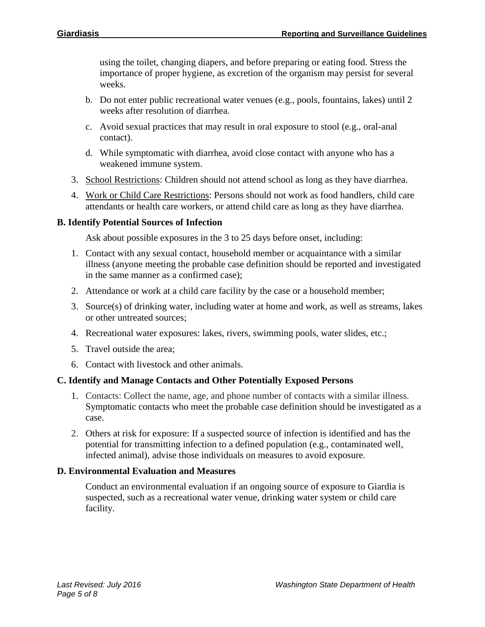using the toilet, changing diapers, and before preparing or eating food. Stress the importance of proper hygiene, as excretion of the organism may persist for several weeks.

- b. Do not enter public recreational water venues (e.g., pools, fountains, lakes) until 2 weeks after resolution of diarrhea.
- c. Avoid sexual practices that may result in oral exposure to stool (e.g., oral-anal contact).
- d. While symptomatic with diarrhea, avoid close contact with anyone who has a weakened immune system.
- 3. School Restrictions: Children should not attend school as long as they have diarrhea.
- 4. Work or Child Care Restrictions: Persons should not work as food handlers, child care attendants or health care workers, or attend child care as long as they have diarrhea.

# **B. Identify Potential Sources of Infection**

Ask about possible exposures in the 3 to 25 days before onset, including:

- 1. Contact with any sexual contact, household member or acquaintance with a similar illness (anyone meeting the probable case definition should be reported and investigated in the same manner as a confirmed case);
- 2. Attendance or work at a child care facility by the case or a household member;
- 3. Source(s) of drinking water, including water at home and work, as well as streams, lakes or other untreated sources;
- 4. Recreational water exposures: lakes, rivers, swimming pools, water slides, etc.;
- 5. Travel outside the area;
- 6. Contact with livestock and other animals.

# **C. Identify and Manage Contacts and Other Potentially Exposed Persons**

- 1. Contacts: Collect the name, age, and phone number of contacts with a similar illness. Symptomatic contacts who meet the probable case definition should be investigated as a case.
- 2. Others at risk for exposure: If a suspected source of infection is identified and has the potential for transmitting infection to a defined population (e.g., contaminated well, infected animal), advise those individuals on measures to avoid exposure.

# **D. Environmental Evaluation and Measures**

Conduct an environmental evaluation if an ongoing source of exposure to Giardia is suspected, such as a recreational water venue, drinking water system or child care facility.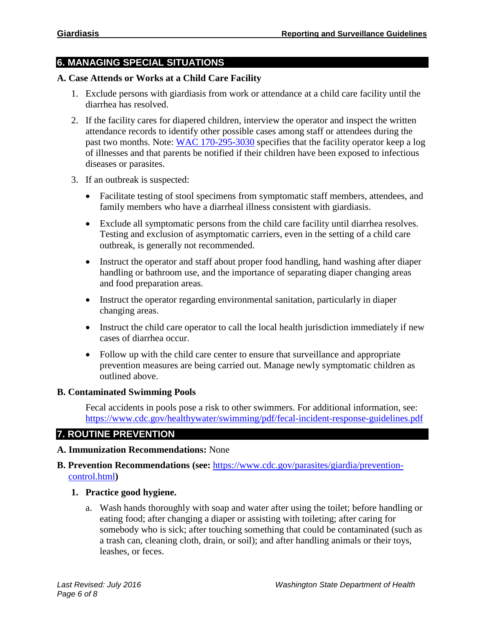# **6. MANAGING SPECIAL SITUATIONS**

#### **A. Case Attends or Works at a Child Care Facility**

- 1. Exclude persons with giardiasis from work or attendance at a child care facility until the diarrhea has resolved.
- 2. If the facility cares for diapered children, interview the operator and inspect the written attendance records to identify other possible cases among staff or attendees during the past two months. Note: [WAC 170-295-3030](https://app.leg.wa.gov/wac/default.aspx?cite=170-295-3030) specifies that the facility operator keep a log of illnesses and that parents be notified if their children have been exposed to infectious diseases or parasites.
- 3. If an outbreak is suspected:
	- Facilitate testing of stool specimens from symptomatic staff members, attendees, and family members who have a diarrheal illness consistent with giardiasis.
	- Exclude all symptomatic persons from the child care facility until diarrhea resolves. Testing and exclusion of asymptomatic carriers, even in the setting of a child care outbreak, is generally not recommended.
	- Instruct the operator and staff about proper food handling, hand washing after diaper handling or bathroom use, and the importance of separating diaper changing areas and food preparation areas.
	- Instruct the operator regarding environmental sanitation, particularly in diaper changing areas.
	- Instruct the child care operator to call the local health jurisdiction immediately if new cases of diarrhea occur.
	- Follow up with the child care center to ensure that surveillance and appropriate prevention measures are being carried out. Manage newly symptomatic children as outlined above.

#### **B. Contaminated Swimming Pools**

Fecal accidents in pools pose a risk to other swimmers. For additional information, see: <https://www.cdc.gov/healthywater/swimming/pdf/fecal-incident-response-guidelines.pdf>

# **7. ROUTINE PREVENTION**

#### **A. Immunization Recommendations:** None

- **B. Prevention Recommendations (see:** [https://www.cdc.gov/parasites/giardia/prevention](https://www.cdc.gov/parasites/giardia/prevention-control.html)[control.html](https://www.cdc.gov/parasites/giardia/prevention-control.html)**)**
	- **1. Practice good hygiene.**
		- a. Wash hands thoroughly with soap and water after using the toilet; before handling or eating food; after changing a diaper or assisting with toileting; after caring for somebody who is sick; after touching something that could be contaminated (such as a trash can, cleaning cloth, drain, or soil); and after handling animals or their toys, leashes, or feces.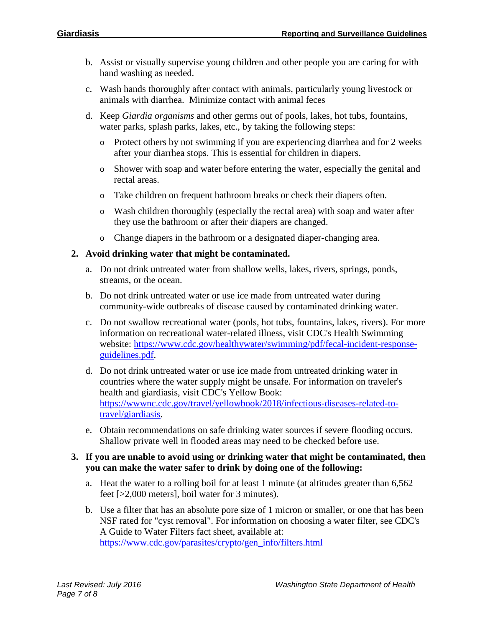- b. Assist or visually supervise young children and other people you are caring for with hand washing as needed.
- c. Wash hands thoroughly after contact with animals, particularly young livestock or animals with diarrhea. Minimize contact with animal feces
- d. Keep *Giardia organisms* and other germs out of pools, lakes, hot tubs, fountains, water parks, splash parks, lakes, etc., by taking the following steps:
	- o Protect others by not swimming if you are experiencing diarrhea and for 2 weeks after your diarrhea stops. This is essential for children in diapers.
	- o Shower with soap and water before entering the water, especially the genital and rectal areas.
	- o Take children on frequent bathroom breaks or check their diapers often.
	- o Wash children thoroughly (especially the rectal area) with soap and water after they use the bathroom or after their diapers are changed.
	- o Change diapers in the bathroom or a designated diaper-changing area.

#### **2. Avoid drinking water that might be contaminated.**

- a. Do not drink untreated water from shallow wells, lakes, rivers, springs, ponds, streams, or the ocean.
- b. Do not drink untreated water or use ice made from untreated water during community-wide outbreaks of disease caused by contaminated drinking water.
- c. Do not swallow recreational water (pools, hot tubs, fountains, lakes, rivers). For more information on recreational water-related illness, visit CDC's Health Swimming website: [https://www.cdc.gov/healthywater/swimming/pdf/fecal-incident-response](https://www.cdc.gov/healthywater/swimming/pdf/fecal-incident-response-guidelines.pdf)[guidelines.pdf.](https://www.cdc.gov/healthywater/swimming/pdf/fecal-incident-response-guidelines.pdf)
- d. Do not drink untreated water or use ice made from untreated drinking water in countries where the water supply might be unsafe. For information on traveler's health and giardiasis, visit CDC's Yellow Book: [https://wwwnc.cdc.gov/travel/yellowbook/2018/infectious-diseases-related-to](https://wwwnc.cdc.gov/travel/yellowbook/2018/infectious-diseases-related-to-travel/giardiasis)[travel/giardiasis.](https://wwwnc.cdc.gov/travel/yellowbook/2018/infectious-diseases-related-to-travel/giardiasis)
- e. Obtain recommendations on safe drinking water sources if severe flooding occurs. Shallow private well in flooded areas may need to be checked before use.

#### **3. If you are unable to avoid using or drinking water that might be contaminated, then you can make the water safer to drink by doing one of the following:**

- a. Heat the water to a rolling boil for at least 1 minute (at altitudes greater than 6,562 feet [>2,000 meters], boil water for 3 minutes).
- b. Use a filter that has an absolute pore size of 1 micron or smaller, or one that has been NSF rated for "cyst removal". For information on choosing a water filter, see CDC's A Guide to Water Filters fact sheet, available at: [https://www.cdc.gov/parasites/crypto/gen\\_info/filters.html](https://www.cdc.gov/parasites/crypto/gen_info/filters.html)